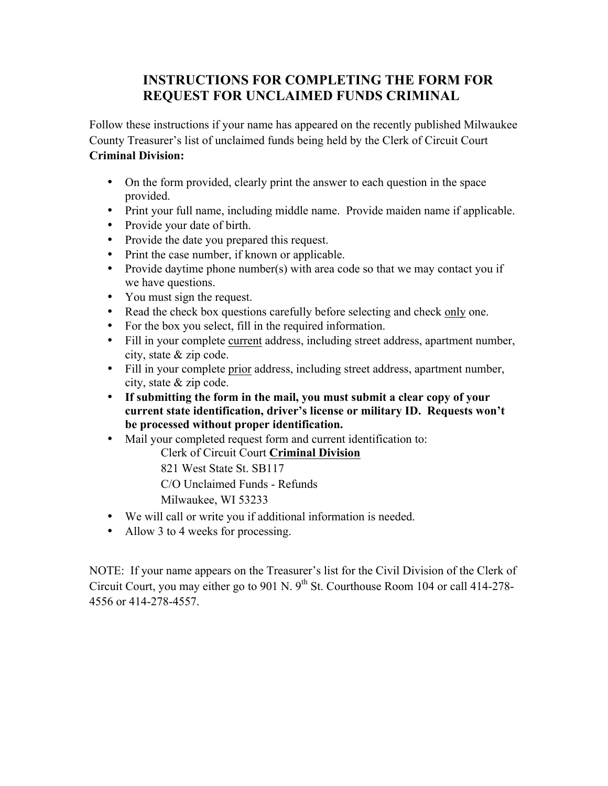## **INSTRUCTIONS FOR COMPLETING THE FORM FOR REQUEST FOR UNCLAIMED FUNDS CRIMINAL**

Follow these instructions if your name has appeared on the recently published Milwaukee County Treasurer's list of unclaimed funds being held by the Clerk of Circuit Court **Criminal Division:**

- On the form provided, clearly print the answer to each question in the space provided.
- Print your full name, including middle name. Provide maiden name if applicable.
- Provide your date of birth.
- Provide the date you prepared this request.
- Print the case number, if known or applicable.
- Provide daytime phone number(s) with area code so that we may contact you if we have questions.
- You must sign the request.
- Read the check box questions carefully before selecting and check only one.
- For the box you select, fill in the required information.
- Fill in your complete current address, including street address, apartment number, city, state & zip code.
- Fill in your complete prior address, including street address, apartment number, city, state & zip code.
- **If submitting the form in the mail, you must submit a clear copy of your current state identification, driver's license or military ID. Requests won't be processed without proper identification.**
- Mail your completed request form and current identification to:

Clerk of Circuit Court **Criminal Division**

821 West State St. SB117

C/O Unclaimed Funds - Refunds

Milwaukee, WI 53233

- We will call or write you if additional information is needed.
- Allow 3 to 4 weeks for processing.

NOTE: If your name appears on the Treasurer's list for the Civil Division of the Clerk of Circuit Court, you may either go to 901 N.  $9<sup>th</sup>$  St. Courthouse Room 104 or call 414-278-4556 or 414-278-4557.